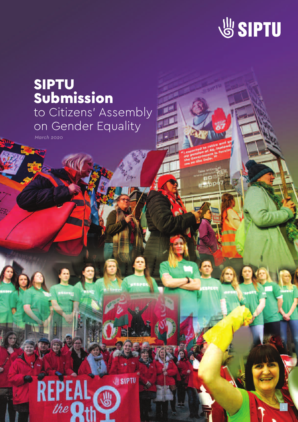

# SIPTU Submission to Citizens' Assembly on Gender Equality

*March 2020*

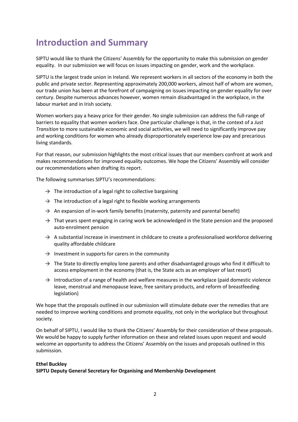# **Introduction and Summary**

SIPTU would like to thank the Citizens' Assembly for the opportunity to make this submission on gender equality. In our submission we will focus on issues impacting on gender, work and the workplace.

SIPTU is the largest trade union in Ireland. We represent workers in all sectors of the economy in both the public and private sector. Representing approximately 200,000 workers, almost half of whom are women, our trade union has been at the forefront of campaigning on issues impacting on gender equality for over century. Despite numerous advances however, women remain disadvantaged in the workplace, in the labour market and in Irish society.

Women workers pay a heavy price for their gender. No single submission can address the full-range of barriers to equality that women workers face. One particular challenge is that, in the context of a *Just Transition* to more sustainable economic and social activities, we will need to significantly improve pay and working conditions for women who already disproportionately experience low-pay and precarious living standards.

For that reason, our submission highlights the most critical issues that our members confront at work and makes recommendations for improved equality outcomes. We hope the Citizens' Assembly will consider our recommendations when drafting its report.

The following summarises SIPTU's recommendations:

- $\rightarrow$  The introduction of a legal right to collective bargaining
- $\rightarrow$  The introduction of a legal right to flexible working arrangements
- $\rightarrow$  An expansion of in-work family benefits (maternity, paternity and parental benefit)
- $\rightarrow$  That years spent engaging in caring work be acknowledged in the State pension and the proposed auto-enrolment pension
- $\rightarrow$  A substantial increase in investment in childcare to create a professionalised workforce delivering quality affordable childcare
- $\rightarrow$  Investment in supports for carers in the community
- $\rightarrow$  The State to directly employ lone parents and other disadvantaged groups who find it difficult to access employment in the economy (that is, the State acts as an employer of last resort)
- $\rightarrow$  Introduction of a range of health and welfare measures in the workplace (paid domestic violence leave, menstrual and menopause leave, free sanitary products, and reform of breastfeeding legislation)

We hope that the proposals outlined in our submission will stimulate debate over the remedies that are needed to improve working conditions and promote equality, not only in the workplace but throughout society.

On behalf of SIPTU, I would like to thank the Citizens' Assembly for their consideration of these proposals. We would be happy to supply further information on these and related issues upon request and would welcome an opportunity to address the Citizens' Assembly on the issues and proposals outlined in this submission.

#### **Ethel Buckley**

**SIPTU Deputy General Secretary for Organising and Membership Development**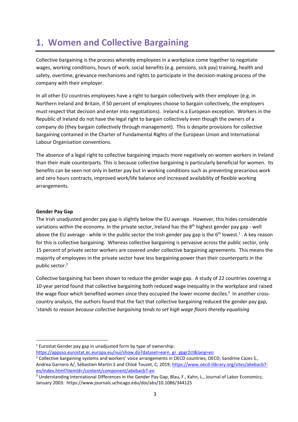# **1. Women and Collective Bargaining**

Collective bargaining is the process whereby employees in a workplace come together to negotiate wages, working conditions, hours of work, social benefits (e.g. pensions, sick pay) training, health and safety, overtime, grievance mechanisms and rights to participate in the decision-making process of the company with their employer.

In all other EU countries employees have a right to bargain collectively with their employer (e.g. in Northern Ireland and Britain, if 50 percent of employees choose to bargain collectively, the employers must respect that decision and enter into negotiations). Ireland is a European exception. Workers in the Republic of Ireland do not have the legal right to bargain collectively even though the owners of a company do (they bargain collectively through management). This is despite provisions for collective bargaining contained in the Charter of Fundamental Rights of the European Union and International Labour Organisation conventions.

The absence of a legal right to collective bargaining impacts more negatively on women workers in Ireland than their male counterparts. This is because collective bargaining is particularly beneficial for women. Its benefits can be seen not only in better pay but in working conditions such as preventing precarious work and zero hours contracts, improved work/life balance and increased availability of flexible working arrangements.

### **Gender Pay Gap**

The Irish unadjusted gender pay gap is slightly below the EU average. However, this hides considerable variations within the economy. In the private sector, Ireland has the 8<sup>th</sup> highest gender pay gap - well above the EU average - while in the public sector the Irish gender pay gap is the  $6<sup>th</sup>$  lowest.<sup>1</sup>. A key reason for this is collective bargaining. Whereas collective bargaining is pervasive across the public sector, only 15 percent of private sector workers are covered under collective bargaining agreements. This means the majority of employees in the private sector have less bargaining power than their counterparts in the public sector.2

Collective bargaining has been shown to reduce the gender wage gap. A study of 22 countries covering a 10-year period found that collective bargaining both reduced wage inequality in the workplace and raised the wage floor which benefited women since they occupied the lower income deciles.<sup>3</sup> In another crosscountry analysis, the authors found that the fact that collective bargaining reduced the gender pay gap, '*stands to reason because collective bargaining tends to set high wage floors thereby equalising* 

 $1$  Eurostat Gender pay gap in unadjusted form by type of ownership:

https://appsso.eurostat.ec.europa.eu/nui/show.do?dataset=earn\_gr\_gpgr2ct&lang=en

<sup>&</sup>lt;sup>2</sup> Collective bargaining systems and workers' voice arrangements in OECD countries; OECD; Sandrine Cazes S., Andrea Garnero A/, Sébastien Martin.S and Chloé Touzet, C; 2019; https://www.oecd-ilibrary.org/sites/a6ebacb7en/index.html?itemId=/content/component/a6ebacb7-en

<sup>&</sup>lt;sup>3</sup> Understanding International Differences in the Gender Pay Gap, Blau, F., Kahn, L., Journal of Labor Economics; January 2003: https://www.journals.uchicago.edu/doi/abs/10.1086/344125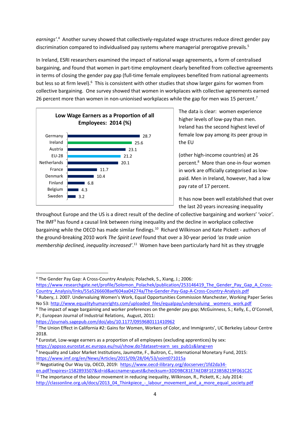*earnings'*. 4 Another survey showed that collectively-regulated wage structures reduce direct gender pay discrimination compared to individualised pay systems where managerial prerogative prevails.<sup>5</sup>

In Ireland, ESRI researchers examined the impact of national wage agreements, a form of centralised bargaining, and found that women in part-time employment clearly benefited from collective agreements in terms of closing the gender pay gap (full-time female employees benefited from national agreements but less so at firm level).<sup>6</sup> This is consistent with other studies that show larger gains for women from collective bargaining. One survey showed that women in workplaces with collective agreements earned 26 percent more than women in non-unionised workplaces while the gap for men was 15 percent.<sup>7</sup>



The data is clear: women experience higher levels of low-pay than men. Ireland has the second highest level of female low pay among its peer group in the EU

(other high-income countries) at 26 percent.8 More than one-in-four women in work are officially categorised as lowpaid. Men in Ireland, however, had a low pay rate of 17 percent.

It has now been well established that over the last 20 years increasing inequality

throughout Europe and the US is a direct result of the decline of collective bargaining and workers' '*voice'*. The IMF<sup>9</sup> has found a causal link between rising inequality and the decline in workplace collective bargaining while the OECD has made similar findings.10 Richard Wilkinson and Kate Pickett - authors of the ground-breaking 2010 work *The Spirit Level* found that over a 30-year period *'as trade union membership declined, inequality increased'*. <sup>11</sup> Women have been particularly hard hit as they struggle

https://www.researchgate.net/profile/Solomon\_Polachek/publication/253146419\_The\_Gender\_Pay\_Gap\_A\_Cross-Country\_Analysis/links/55a5266608aef604aa04274a/The-Gender-Pay-Gap-A-Cross-Country-Analysis.pdf

<sup>5</sup> Rubery, J. 2007. Undervaluing Women's Work, Equal Opportunities Commission Manchester, Working Paper Series No 53: http://www.equalityhumanrights.com/uploaded\_files/equalpay/undervaluing\_ womens\_work.pdf

https://journals.sagepub.com/doi/abs/10.1177/0959680111410962

<sup>8</sup> Eurostat, Low-wage earners as a proportion of all employees (excluding apprentices) by sex: https://appsso.eurostat.ec.europa.eu/nui/show.do?dataset=earn\_ses\_pub1s&lang=en

<sup>4</sup> The Gender Pay Gap: A Cross-Country Analysis; Polachek, S., Xiang, J.; 2006:

<sup>&</sup>lt;sup>6</sup> The impact of wage bargaining and worker preferences on the gender pay gap; McGuinness, S.; Kelly, E., O'Connell, P.; European Journal of Industrial Relations, August, 2011:

<sup>7</sup> The Union Effect in California #2: Gains for Women, Workers of Color, and Immigrants', UC Berkeley Labour Centre 2018.

<sup>&</sup>lt;sup>9</sup> Inequality and Labor Market Institutions, Jaumotte, F., Buitron, C., International Monetary Fund, 2015: https://www.imf.org/en/News/Articles/2015/09/28/04/53/soint071015a

<sup>&</sup>lt;sup>10</sup> Negotiating Our Way Up, OECD, 2019: https://www.oecd-ilibrary.org/docserver/1fd2da34en.pdf?expires=1582893507&id=id&accname=guest&checksum=3DD9BC81E7AED8F1E23B5B219F061C2C

<sup>&</sup>lt;sup>11</sup> The importance of the labour movement in reducing inequality, Wilkinson, R., Pickett, K.; July 2014: http://classonline.org.uk/docs/2013\_04\_Thinkpiece\_-\_labour\_movement\_and\_a\_more\_equal\_society.pdf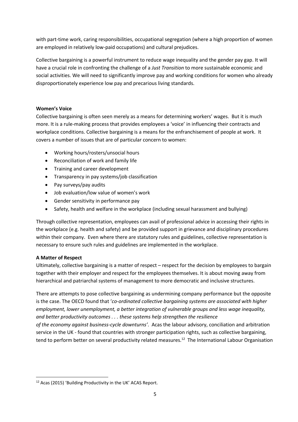with part-time work, caring responsibilities, occupational segregation (where a high proportion of women are employed in relatively low-paid occupations) and cultural prejudices.

Collective bargaining is a powerful instrument to reduce wage inequality and the gender pay gap. It will have a crucial role in confronting the challenge of a *Just Transition* to more sustainable economic and social activities. We will need to significantly improve pay and working conditions for women who already disproportionately experience low pay and precarious living standards.

### **Women's Voice**

Collective bargaining is often seen merely as a means for determining workers' wages. But it is much more. It is a rule-making process that provides employees a 'voice' in influencing their contracts and workplace conditions. Collective bargaining is a means for the enfranchisement of people at work. It covers a number of issues that are of particular concern to women:

- Working hours/rosters/unsocial hours
- Reconciliation of work and family life
- Training and career development
- Transparency in pay systems/job classification
- Pay surveys/pay audits
- Job evaluation/low value of women's work
- Gender sensitivity in performance pay
- Safety, health and welfare in the workplace (including sexual harassment and bullying)

Through collective representation, employees can avail of professional advice in accessing their rights in the workplace (e.g. health and safety) and be provided support in grievance and disciplinary procedures within their company. Even where there are statutory rules and guidelines, collective representation is necessary to ensure such rules and guidelines are implemented in the workplace.

### **A Matter of Respect**

Ultimately, collective bargaining is a matter of respect – respect for the decision by employees to bargain together with their employer and respect for the employees themselves. It is about moving away from hierarchical and patriarchal systems of management to more democratic and inclusive structures.

There are attempts to pose collective bargaining as undermining company performance but the opposite is the case. The OECD found that '*co-ordinated collective bargaining systems are associated with higher employment, lower unemployment, a better integration of vulnerable groups and less wage inequality, and better productivity outcomes . . . these systems help strengthen the resilience of the economy against business-cycle downturns'*. Acas the labour advisory, conciliation and arbitration service in the UK - found that countries with stronger participation rights, such as collective bargaining, tend to perform better on several productivity related measures.<sup>12</sup> The International Labour Organisation

<sup>12</sup> Acas (2015) 'Building Productivity in the UK' ACAS Report.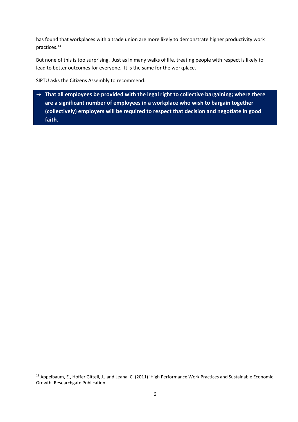has found that workplaces with a trade union are more likely to demonstrate higher productivity work practices. 13

But none of this is too surprising. Just as in many walks of life, treating people with respect is likely to lead to better outcomes for everyone. It is the same for the workplace.

SIPTU asks the Citizens Assembly to recommend:

→ **That all employees be provided with the legal right to collective bargaining; where there are a significant number of employees in a workplace who wish to bargain together (collectively) employers will be required to respect that decision and negotiate in good faith.**

<sup>&</sup>lt;sup>13</sup> Appelbaum, E., Hoffer Gittell, J., and Leana, C. (2011) 'High Performance Work Practices and Sustainable Economic Growth' Researchgate Publication.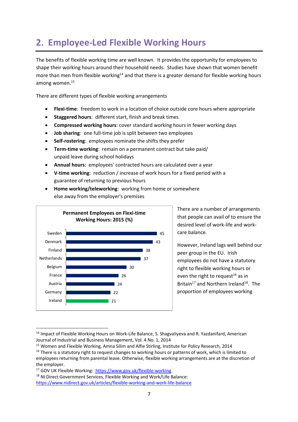# **2. Employee-Led Flexible Working Hours**

The benefits of flexible working time are well known. It provides the opportunity for employees to shape their working hours around their household needs. Studies have shown that women benefit more than men from flexible working<sup>14</sup> and that there is a greater demand for flexible working hours among women.15

There are different types of flexible working arrangements

- **Flexi-time**: freedom to work in a location of choice outside core hours where appropriate
- **Staggered hours**: different start, finish and break times
- **Compressed working hours**: cover standard working hours in fewer working days
- **Job sharing**: one full-time job is split between two employees
- **Self-rostering**: employees nominate the shifts they prefer
- **Term-time working**: remain on a permanent contract but take paid/ unpaid leave during school holidays
- **Annual hours**: employees' contracted hours are calculated over a year
- **V-time working**: reduction / increase of work hours for a fixed period with a guarantee of returning to previous hours



• **Home working/teleworking**: working from home or somewhere else away from the employer's premises

> There are a number of arrangements that people can avail of to ensure the desired level of work-life and workcare balance.

However, Ireland lags well behind our peer group in the EU. Irish employees do not have a statutory right to flexible working hours or even the right to request<sup>16</sup> as in Britain<sup>17</sup> and Northern Ireland<sup>18</sup>. The proportion of employees working

<sup>&</sup>lt;sup>14</sup> Impact of Flexible Working Hours on Work-Life Balance, S. Shagvaliyeva and R. Yazdanifard, American Journal of Industrial and Business Management, Vol. 4 No. 1, 2014

<sup>&</sup>lt;sup>15</sup> Women and Flexible Working, Amna Silim and Alfie Stirling, Institute for Policy Research, 2014

<sup>&</sup>lt;sup>16</sup> There is a statutory right to request changes to working hours or patterns of work, which is limited to employees returning from parental leave. Otherwise, flexible working arrangements are at the discretion of the employer.

<sup>17</sup> GOV UK Flexible Working: https://www.gov.uk/flexible-working

<sup>&</sup>lt;sup>18</sup> NI Direct Government Services, Flexible Working and Work/Life Balance: https://www.nidirect.gov.uk/articles/flexible-working-and-work-life-balance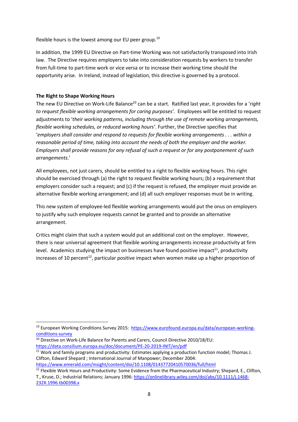flexible hours is the lowest among our EU peer group.<sup>19</sup>

In addition, the 1999 EU Directive on Part-time Working was not satisfactorily transposed into Irish law. The Directive requires employers to take into consideration requests by workers to transfer from full-time to part-time work or vice versa or to increase their working time should the opportunity arise. In Ireland, instead of legislation, this directive is governed by a protocol.

### **The Right to Shape Working Hours**

The new EU Directive on Work-Life Balance<sup>20</sup> can be a start. Ratified last year, it provides for a '*right to request flexible working arrangements for caring purposes'.* Employees will be entitled to request adjustments to '*their working patterns, including through the use of remote working arrangements, flexible working schedules, or reduced working hours'*. Further, the Directive specifies that '*employers shall consider and respond to requests for flexible working arrangements . . . within a reasonable period of time, taking into account the needs of both the employer and the worker. Employers shall provide reasons for any refusal of such a request or for any postponement of such arrangements*.'

All employees, not just carers, should be entitled to a right to flexible working hours. This right should be exercised through (a) the right to request flexible working hours; (b) a requirement that employers consider such a request; and (c) if the request is refused, the employer must provide an alternative flexible working arrangement; and (d) all such employer responses must be in writing.

This new system of employee-led flexible working arrangements would put the onus on employers to justify why such employee requests cannot be granted and to provide an alternative arrangement.

Critics might claim that such a system would put an additional cost on the employer. However, there is near universal agreement that flexible working arrangements increase productivity at firm level. Academics studying the impact on businesses have found positive impact<sup>21</sup>, productivity increases of 10 percent<sup>22</sup>, particular positive impact when women make up a higher proportion of

<sup>19</sup> European Working Conditions Survey 2015: https://www.eurofound.europa.eu/data/european-workingconditions-survey

<sup>&</sup>lt;sup>20</sup> Directive on Work-Life Balance for Parents and Carers, Council Directive 2010/18/EU: https://data.consilium.europa.eu/doc/document/PE-20-2019-INIT/en/pdf

<sup>&</sup>lt;sup>21</sup> Work and family programs and productivity: Estimates applying a production function model; Thomas J. Clifton, Edward Shepard ; International Journal of Manpower; December 2004: https://www.emerald.com/insight/content/doi/10.1108/01437720410570036/full/html

<sup>&</sup>lt;sup>22</sup> Flexible Work Hours and Productivity: Some Evidence from the Pharmaceutical Industry; Shepard, E., Clifton, T., Kruse, D.; Industrial Relations; January 1996: https://onlinelibrary.wiley.com/doi/abs/10.1111/j.1468-232X.1996.tb00398.x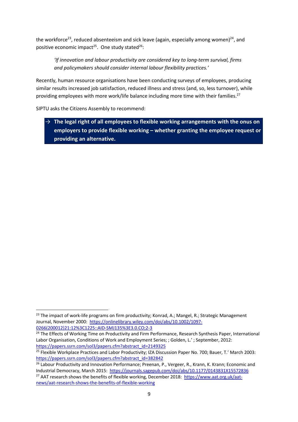the workforce<sup>23</sup>, reduced absenteeism and sick leave (again, especially among women)<sup>24</sup>, and positive economic impact<sup>25</sup>. One study stated<sup>26</sup>:

*'If innovation and labour productivity are considered key to long-term survival, firms and policymakers should consider internal labour flexibility practices.'*

Recently, human resource organisations have been conducting surveys of employees, producing similar results increased job satisfaction, reduced illness and stress (and, so, less turnover), while providing employees with more work/life balance including more time with their families.<sup>27</sup>

SIPTU asks the Citizens Assembly to recommend:

→ **The legal right of all employees to flexible working arrangements with the onus on employers to provide flexible working – whether granting the employee request or providing an alternative.**

<sup>&</sup>lt;sup>23</sup> The impact of work-life programs on firm productivity; Konrad, A.; Mangel, R.; Strategic Management Journal, November 2000: https://onlinelibrary.wiley.com/doi/abs/10.1002/1097- 0266(200012)21:12%3C1225::AID-SMJ135%3E3.0.CO;2-3

<sup>&</sup>lt;sup>24</sup> The Effects of Working Time on Productivity and Firm Performance, Research Synthesis Paper, International Labor Organisation, Conditions of Work and Employment Series; ; Golden, L.' ; September, 2012: https://papers.ssrn.com/sol3/papers.cfm?abstract\_id=2149325

<sup>&</sup>lt;sup>25</sup> Flexible Workplace Practices and Labor Productivity; IZA Discussion Paper No. 700; Bauer, T.' March 2003: https://papers.ssrn.com/sol3/papers.cfm?abstract\_id=382842

<sup>&</sup>lt;sup>26</sup> Labour Productivity and Innovation Performance; Preenan, P., Vergeer, R., Krann, K. Krann; Economic and Industrial Democracy, March 2015: https://journals.sagepub.com/doi/abs/10.1177/0143831X15572836 <sup>27</sup> AAT research shows the benefits of flexible working, December 2018: https://www.aat.org.uk/aatnews/aat-research-shows-the-benefits-of-flexible-working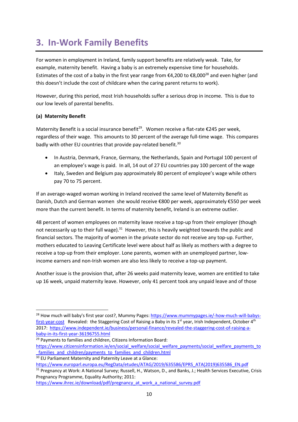# **3. In-Work Family Benefits**

For women in employment in Ireland, family support benefits are relatively weak. Take, for example, maternity benefit. Having a baby is an extremely expensive time for households. Estimates of the cost of a baby in the first year range from €4,200 to €8,000<sup>28</sup> and even higher (and this doesn't include the cost of childcare when the caring parent returns to work).

However, during this period, most Irish households suffer a serious drop in income. This is due to our low levels of parental benefits.

### **(a) Maternity Benefit**

Maternity Benefit is a social insurance benefit<sup>29</sup>. Women receive a flat-rate  $\epsilon$ 245 per week, regardless of their wage. This amounts to 30 percent of the average full-time wage. This compares badly with other EU countries that provide pay-related benefit.<sup>30</sup>

- In Austria, Denmark, France, Germany, the Netherlands, Spain and Portugal 100 percent of an employee's wage is paid. In all, 14 out of 27 EU countries pay 100 percent of the wage
- Italy, Sweden and Belgium pay approximately 80 percent of employee's wage while others pay 70 to 75 percent.

If an average-waged woman working in Ireland received the same level of Maternity Benefit as Danish, Dutch and German women she would receive €800 per week, approximately €550 per week more than the current benefit. In terms of maternity benefit, Ireland is an extreme outlier.

48 percent of women employees on maternity leave receive a top-up from their employer (though not necessarily up to their full wage). $31$  However, this is heavily weighted towards the public and financial sectors. The majority of women in the private sector do not receive any top-up. Further, mothers educated to Leaving Certificate level were about half as likely as mothers with a degree to receive a top-up from their employer. Lone parents, women with an unemployed partner, lowincome earners and non-Irish women are also less likely to receive a top-up payment.

Another issue is the provision that, after 26 weeks paid maternity leave, women are entitled to take up 16 week, unpaid maternity leave. However, only 41 percent took any unpaid leave and of those

<sup>&</sup>lt;sup>28</sup> How much will baby's first year cost?, Mummy Pages: https://www.mummypages.ie/-how-much-will-babysfirst-year-cost Revealed: the Staggering Cost of Raising a Baby in its 1<sup>st</sup> year, Irish Independent, October 4<sup>th</sup> 2017: https://www.independent.ie/business/personal-finance/revealed-the-staggering-cost-of-raising-ababy-in-its-first-year-36196755.html

<sup>&</sup>lt;sup>29</sup> Payments to families and children, Citizens Information Board:

https://www.citizensinformation.ie/en/social\_welfare/social\_welfare\_payments/social\_welfare\_payments\_to families and children/payments to families and children.html

<sup>&</sup>lt;sup>30</sup> EU Parliament Maternity and Paternity Leave at a Glance:

https://www.europarl.europa.eu/RegData/etudes/ATAG/2019/635586/EPRS\_ATA(2019)635586\_EN.pdf

<sup>&</sup>lt;sup>31</sup> Pregnancy at Work: A National Survey; Russell, H., Watson, D., and Banks, J.; Health Services Executive, Crisis Pregnancy Programme, Equality Authority; 2011:

https://www.ihrec.ie/download/pdf/pregnancy\_at\_work\_a\_national\_survey.pdf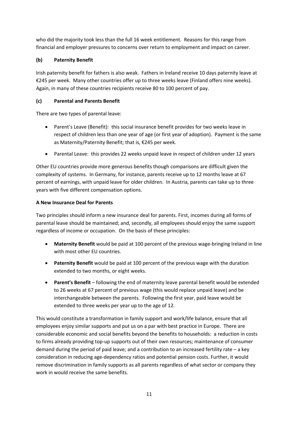who did the majority took less than the full 16 week entitlement. Reasons for this range from financial and employer pressures to concerns over return to employment and impact on career.

### **(b) Paternity Benefit**

Irish paternity benefit for fathers is also weak. Fathers in Ireland receive 10 days paternity leave at €245 per week. Many other countries offer up to three weeks leave (Finland offers nine weeks). Again, in many of these countries recipients receive 80 to 100 percent of pay.

### **(c) Parental and Parents Benefit**

There are two types of parental leave:

- Parent's Leave (Benefit): this social insurance benefit provides for two weeks leave in respect of children less than one year of age (or first year of adoption). Payment is the same as Maternity/Paternity Benefit; that is, €245 per week.
- Parental Leave: this provides 22 weeks unpaid leave in respect of children under 12 years

Other EU countries provide more generous benefits though comparisons are difficult given the complexity of systems. In Germany, for instance, parents receive up to 12 months leave at 67 percent of earnings, with unpaid leave for older children. In Austria, parents can take up to three years with five different compensation options.

### **A New Insurance Deal for Parents**

Two principles should inform a new insurance deal for parents. First, incomes during all forms of parental leave should be maintained; and, secondly, all employees should enjoy the same support regardless of income or occupation. On the basis of these principles:

- **Maternity Benefit** would be paid at 100 percent of the previous wage-bringing Ireland in line with most other EU countries.
- **Paternity Benefit** would be paid at 100 percent of the previous wage with the duration extended to two months, or eight weeks.
- **Parent's Benefit** following the end of maternity leave parental benefit would be extended to 26 weeks at 67 percent of previous wage (this would replace unpaid leave) and be interchangeable between the parents. Following the first year, paid leave would be extended to three weeks per year up to the age of 12.

This would constitute a transformation in family support and work/life balance, ensure that all employees enjoy similar supports and put us on a par with best practice in Europe. There are considerable economic and social benefits beyond the benefits to households: a reduction in costs to firms already providing top-up supports out of their own resources; maintenance of consumer demand during the period of paid leave; and a contribution to an increased fertility rate – a key consideration in reducing age-dependency ratios and potential pension costs. Further, it would remove discrimination in family supports as all parents regardless of what sector or company they work in would receive the same benefits.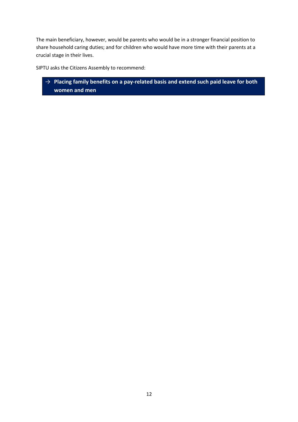The main beneficiary, however, would be parents who would be in a stronger financial position to share household caring duties; and for children who would have more time with their parents at a crucial stage in their lives.

SIPTU asks the Citizens Assembly to recommend:

→ **Placing family benefits on a pay-related basis and extend such paid leave for both women and men**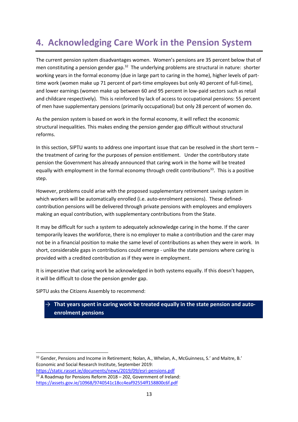# **4. Acknowledging Care Work in the Pension System**

The current pension system disadvantages women. Women's pensions are 35 percent below that of men constituting a pension gender gap.<sup>32</sup> The underlying problems are structural in nature: shorter working years in the formal economy (due in large part to caring in the home), higher levels of parttime work (women make up 71 percent of part-time employees but only 40 percent of full-time), and lower earnings (women make up between 60 and 95 percent in low-paid sectors such as retail and childcare respectively). This is reinforced by lack of access to occupational pensions: 55 percent of men have supplementary pensions (primarily occupational) but only 28 percent of women do.

As the pension system is based on work in the formal economy, it will reflect the economic structural inequalities. This makes ending the pension gender gap difficult without structural reforms.

In this section, SIPTU wants to address one important issue that can be resolved in the short term – the treatment of caring for the purposes of pension entitlement. Under the contributory state pension the Government has already announced that caring work in the home will be treated equally with employment in the formal economy through credit contributions<sup>33</sup>. This is a positive step.

However, problems could arise with the proposed supplementary retirement savings system in which workers will be automatically enrolled (i.e. auto-enrolment pensions). These definedcontribution pensions will be delivered through private pensions with employees and employers making an equal contribution, with supplementary contributions from the State.

It may be difficult for such a system to adequately acknowledge caring in the home. If the carer temporarily leaves the workforce, there is no employer to make a contribution and the carer may not be in a financial position to make the same level of contributions as when they were in work. In short, considerable gaps in contributions could emerge - unlike the state pensions where caring is provided with a credited contribution as if they were in employment.

It is imperative that caring work be acknowledged in both systems equally. If this doesn't happen, it will be difficult to close the pension gender gap.

SIPTU asks the Citizens Assembly to recommend:

### → **That years spent in caring work be treated equally in the state pension and autoenrolment pensions**

<sup>&</sup>lt;sup>32</sup> Gender, Pensions and Income in Retirement; Nolan, A., Whelan, A., McGuinness, S.' and Maitre, B.' Economic and Social Research Institute, September 2019:

https://static.rasset.ie/documents/news/2019/09/esri-pensions.pdf  $33$  A Roadmap for Pensions Reform 2018 – 202, Government of Ireland: https://assets.gov.ie/10968/9740541c18cc4eaf92554ff158800c6f.pdf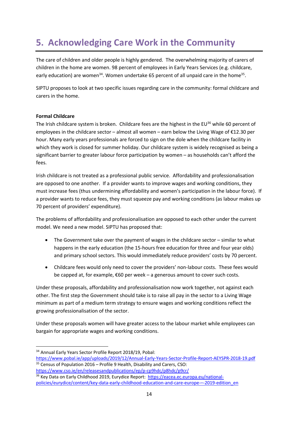# **5. Acknowledging Care Work in the Community**

The care of children and older people is highly gendered. The overwhelming majority of carers of children in the home are women. 98 percent of employees in Early Years Services (e.g. childcare, early education) are women<sup>34</sup>. Women undertake 65 percent of all unpaid care in the home<sup>35</sup>.

SIPTU proposes to look at two specific issues regarding care in the community: formal childcare and carers in the home.

### **Formal Childcare**

The Irish childcare system is broken. Childcare fees are the highest in the EU $^{36}$  while 60 percent of employees in the childcare sector – almost all women – earn below the Living Wage of €12.30 per hour. Many early years professionals are forced to sign on the dole when the childcare facility in which they work is closed for summer holiday. Our childcare system is widely recognised as being a significant barrier to greater labour force participation by women – as households can't afford the fees.

Irish childcare is not treated as a professional public service. Affordability and professionalisation are opposed to one another. If a provider wants to improve wages and working conditions, they must increase fees (thus undermining affordability and women's participation in the labour force). If a provider wants to reduce fees, they must squeeze pay and working conditions (as labour makes up 70 percent of providers' expenditure).

The problems of affordability and professionalisation are opposed to each other under the current model. We need a new model. SIPTU has proposed that:

- The Government take over the payment of wages in the childcare sector similar to what happens in the early education (the 15-hours free education for three and four year olds) and primary school sectors. This would immediately reduce providers' costs by 70 percent.
- Childcare fees would only need to cover the providers' non-labour costs. These fees would be capped at, for example, €60 per week – a generous amount to cover such costs.

Under these proposals, affordability and professionalisation now work together, not against each other. The first step the Government should take is to raise all pay in the sector to a Living Wage minimum as part of a medium term strategy to ensure wages and working conditions reflect the growing professionalisation of the sector.

Under these proposals women will have greater access to the labour market while employees can bargain for appropriate wages and working conditions.

<sup>34</sup> Annual Early Years Sector Profile Report 2018/19, Pobal:

https://www.pobal.ie/app/uploads/2019/12/Annual-Early-Years-Sector-Profile-Report-AEYSPR-2018-19.pdf <sup>35</sup> Census of Population 2016 – Profile 9 Health, Disability and Carers, CSO:

https://www.cso.ie/en/releasesandpublications/ep/p-cp9hdc/p8hdc/p9cr/ <sup>36</sup> Key Data on Early Childhood 2019, Eurydice Report: https://eacea.ec.europa.eu/nationalpolicies/eurydice/content/key-data-early-childhood-education-and-care-europe-–-2019-edition\_en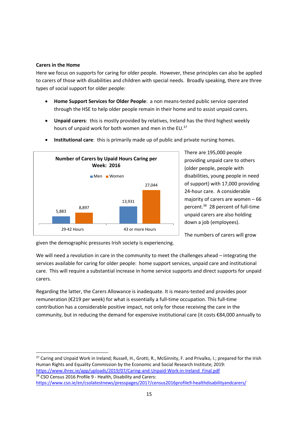#### **Carers in the Home**

Here we focus on supports for caring for older people. However, these principles can also be applied to carers of those with disabilities and children with special needs. Broadly speaking, there are three types of social support for older people:

- **Home Support Services for Older People**: a non means-tested public service operated through the HSE to help older people remain in their home and to assist unpaid carers.
- **Unpaid carers**: this is mostly provided by relatives, Ireland has the third highest weekly hours of unpaid work for both women and men in the EU.<sup>37</sup>



• **Institutional care**: this is primarily made up of public and private nursing homes.

There are 195,000 people providing unpaid care to others (older people, people with disabilities, young people in need of support) with 17,000 providing 24-hour care. A considerable majority of carers are women – 66 percent.38 28 percent of full-time unpaid carers are also holding down a job (employees).

The numbers of carers will grow

given the demographic pressures Irish society is experiencing.

We will need a revolution in care in the community to meet the challenges ahead – integrating the services available for caring for older people: home support services, unpaid care and institutional care. This will require a substantial increase in home service supports and direct supports for unpaid carers.

Regarding the latter, the Carers Allowance is inadequate. It is means-tested and provides poor remuneration (€219 per week) for what is essentially a full-time occupation. This full-time contribution has a considerable positive impact, not only for those receiving the care in the community, but in reducing the demand for expensive institutional care (it costs €84,000 annually to

37 Caring and Unpaid Work in Ireland; Russell, H., Grotti, R., McGinnity, F. and Privalko, I.; prepared for the Irish Human Rights and Equality Commission by the Economic and Social Research Institute; 2019: https://www.ihrec.ie/app/uploads/2019/07/Caring-and-Unpaid-Work-in-Ireland\_Final.pdf 38 CSO Census 2016 Profile 9 - Health, Disability and Carers:

https://www.cso.ie/en/csolatestnews/presspages/2017/census2016profile9-healthdisabilityandcarers/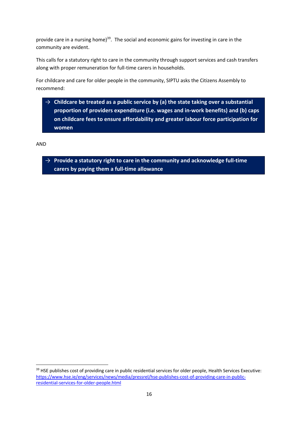provide care in a nursing home) $39$ . The social and economic gains for investing in care in the community are evident.

This calls for a statutory right to care in the community through support services and cash transfers along with proper remuneration for full-time carers in households.

For childcare and care for older people in the community, SIPTU asks the Citizens Assembly to recommend:

 $\rightarrow$  Childcare be treated as a public service by (a) the state taking over a substantial **proportion of providers expenditure (i.e. wages and in-work benefits) and (b) caps on childcare fees to ensure affordability and greater labour force participation for women**

AND

→ **Provide a statutory right to care in the community and acknowledge full-time carers by paying them a full-time allowance**

<sup>&</sup>lt;sup>39</sup> HSE publishes cost of providing care in public residential services for older people, Health Services Executive: https://www.hse.ie/eng/services/news/media/pressrel/hse-publishes-cost-of-providing-care-in-publicresidential-services-for-older-people.html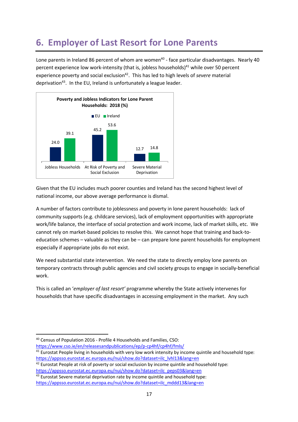# **6. Employer of Last Resort for Lone Parents**

Lone parents in Ireland 86 percent of whom are women<sup>40</sup> - face particular disadvantages. Nearly 40 percent experience low work-intensity (that is, jobless households)<sup>41</sup> while over 50 percent experience poverty and social exclusion<sup>42</sup>. This has led to high levels of *severe* material deprivation<sup>43</sup>. In the EU, Ireland is unfortunately a league leader.



Given that the EU includes much poorer counties and Ireland has the second highest level of national income, our above average performance is dismal.

A number of factors contribute to joblessness and poverty in lone parent households: lack of community supports (e.g. childcare services), lack of employment opportunities with appropriate work/life balance, the interface of social protection and work income, lack of market skills, etc. We cannot rely on market-based policies to resolve this. We cannot hope that training and back-toeducation schemes – valuable as they can be – can prepare lone parent households for employment especially if appropriate jobs do not exist.

We need substantial state intervention. We need the state to directly employ lone parents on temporary contracts through public agencies and civil society groups to engage in socially-beneficial work.

This is called an '*employer of last resort'* programme whereby the State actively intervenes for households that have specific disadvantages in accessing employment in the market. Any such

https://www.cso.ie/en/releasesandpublications/ep/p-cp4hf/cp4hf/fmls/

<sup>40</sup> Census of Population 2016 - Profile 4 Households and Families, CSO:

<sup>&</sup>lt;sup>41</sup> Eurostat People living in households with very low work intensity by income quintile and household type: https://appsso.eurostat.ec.europa.eu/nui/show.do?dataset=ilc\_lvhl13&lang=en

 $42$  Eurostat People at risk of poverty or social exclusion by income quintile and household type: https://appsso.eurostat.ec.europa.eu/nui/show.do?dataset=ilc\_peps03&lang=en

 $43$  Eurostat Severe material deprivation rate by income quintile and household type: https://appsso.eurostat.ec.europa.eu/nui/show.do?dataset=ilc\_mddd13&lang=en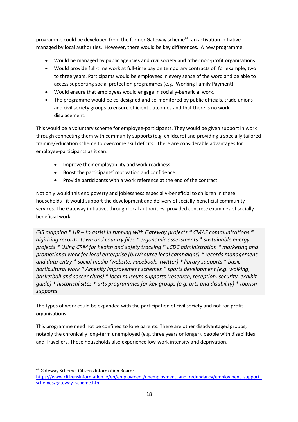programme could be developed from the former Gateway scheme $44$ , an activation initiative managed by local authorities. However, there would be key differences. A new programme:

- Would be managed by public agencies and civil society and other non-profit organisations.
- Would provide full-time work at full-time pay on temporary contracts of, for example, two to three years. Participants would be employees in every sense of the word and be able to access supporting social protection programmes (e.g. Working Family Payment).
- Would ensure that employees would engage in socially-beneficial work.
- The programme would be co-designed and co-monitored by public officials, trade unions and civil society groups to ensure efficient outcomes and that there is no work displacement.

This would be a voluntary scheme for employee-participants. They would be given support in work through connecting them with community supports (e.g. childcare) and providing a specially tailored training/education scheme to overcome skill deficits. There are considerable advantages for employee-participants as it can:

- Improve their employability and work readiness
- Boost the participants' motivation and confidence.
- Provide participants with a work reference at the end of the contract.

Not only would this end poverty and joblessness especially-beneficial to children in these households - it would support the development and delivery of socially-beneficial community services. The Gateway initiative, through local authorities, provided concrete examples of sociallybeneficial work:

*GIS mapping \* HR – to assist in running with Gateway projects \* CMAS communications \* digitising records, town and country files \* ergonomic assessments \* sustainable energy projects \* Using CRM for health and safety tracking \* LCDC administration \* marketing and promotional work for local enterprise (buy/source local campaigns) \* records management and data entry \* social media (website, Facebook, Twitter) \* library supports* \* *basic horticultural work \* Amenity improvement schemes \* sports development (e.g. walking, basketball and soccer clubs) \* local museum supports (research, reception, security, exhibit guide) \* historical sites \* arts programmes for key groups (e.g. arts and disability) \* tourism supports*

The types of work could be expanded with the participation of civil society and not-for-profit organisations.

This programme need not be confined to lone parents. There are other disadvantaged groups, notably the chronically long-term unemployed (e.g. three years or longer), people with disabilities and Travellers. These households also experience low-work intensity and deprivation.

<sup>44</sup> Gateway Scheme, Citizens Information Board:

https://www.citizensinformation.ie/en/employment/unemployment\_and\_redundancy/employment\_support\_ schemes/gateway\_scheme.html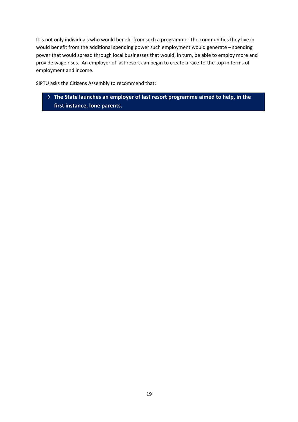It is not only individuals who would benefit from such a programme. The communities they live in would benefit from the additional spending power such employment would generate – spending power that would spread through local businesses that would, in turn, be able to employ more and provide wage rises. An employer of last resort can begin to create a race-to-the-top in terms of employment and income.

SIPTU asks the Citizens Assembly to recommend that:

→ **The State launches an employer of last resort programme aimed to help, in the first instance, lone parents.**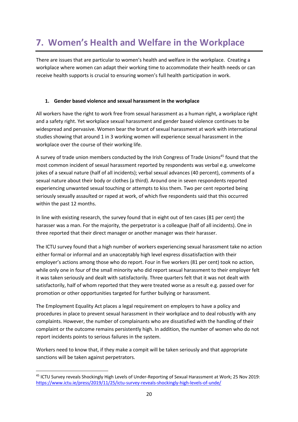# **7. Women's Health and Welfare in the Workplace**

There are issues that are particular to women's health and welfare in the workplace. Creating a workplace where women can adapt their working time to accommodate their health needs or can receive health supports is crucial to ensuring women's full health participation in work.

### **1. Gender based violence and sexual harassment in the workplace**

All workers have the right to work free from sexual harassment as a human right, a workplace right and a safety right. Yet workplace sexual harassment and gender based violence continues to be widespread and pervasive. Women bear the brunt of sexual harassment at work with international studies showing that around 1 in 3 working women will experience sexual harassment in the workplace over the course of their working life.

A survey of trade union members conducted by the Irish Congress of Trade Unions<sup>45</sup> found that the most common incident of sexual harassment reported by respondents was verbal e.g. unwelcome jokes of a sexual nature (half of all incidents); verbal sexual advances (40 percent), comments of a sexual nature about their body or clothes (a third). Around one in seven respondents reported experiencing unwanted sexual touching or attempts to kiss them. Two per cent reported being seriously sexually assaulted or raped at work, of which five respondents said that this occurred within the past 12 months.

In line with existing research, the survey found that in eight out of ten cases (81 per cent) the harasser was a man. For the majority, the perpetrator is a colleague (half of all incidents). One in three reported that their direct manager or another manager was their harasser.

The ICTU survey found that a high number of workers experiencing sexual harassment take no action either formal or informal and an unacceptably high level express dissatisfaction with their employer's actions among those who do report. Four in five workers (81 per cent) took no action, while only one in four of the small minority who did report sexual harassment to their employer felt it was taken seriously and dealt with satisfactorily. Three quarters felt that it was not dealt with satisfactorily, half of whom reported that they were treated worse as a result e.g. passed over for promotion or other opportunities targeted for further bullying or harassment.

The Employment Equality Act places a legal requirement on employers to have a policy and procedures in place to prevent sexual harassment in their workplace and to deal robustly with any complaints. However, the number of complainants who are dissatisfied with the handling of their complaint or the outcome remains persistently high. In addition, the number of women who do not report incidents points to serious failures in the system.

Workers need to know that, if they make a compit will be taken seriously and that appropriate sanctions will be taken against perpetrators.

<sup>45</sup> ICTU Survey reveals Shockingly High Levels of Under-Reporting of Sexual Harassment at Work; 25 Nov 2019: https://www.ictu.ie/press/2019/11/25/ictu-survey-reveals-shockingly-high-levels-of-unde/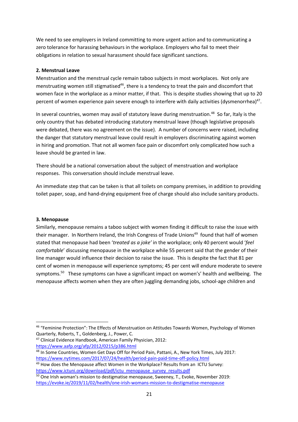We need to see employers in Ireland committing to more urgent action and to communicating a zero tolerance for harassing behaviours in the workplace. Employers who fail to meet their obligations in relation to sexual harassment should face significant sanctions.

### **2. Menstrual Leave**

Menstruation and the menstrual cycle remain taboo subjects in most workplaces. Not only are menstruating women still stigmatised<sup>46</sup>, there is a tendency to treat the pain and discomfort that women face in the workplace as a minor matter, if that. This is despite studies showing that up to 20 percent of women experience pain severe enough to interfere with daily activities (dysmenorrhea)<sup>47</sup>.

In several countries, women may avail of statutory leave during menstruation.<sup>48</sup> So far, Italy is the only country that has debated introducing statutory menstrual leave (though legislative proposals were debated, there was no agreement on the issue). A number of concerns were raised, including the danger that statutory menstrual leave could result in employers discriminating against women in hiring and promotion. That not all women face pain or discomfort only complicated how such a leave should be granted in law.

There should be a national conversation about the subject of menstruation and workplace responses. This conversation should include menstrual leave.

An immediate step that can be taken is that all toilets on company premises, in addition to providing toilet paper, soap, and hand-drying equipment free of charge should also include sanitary products.

#### **3. Menopause**

Similarly, menopause remains a taboo subject with women finding it difficult to raise the issue with their manager. In Northern Ireland, the Irish Congress of Trade Unions<sup>49</sup> found that half of women stated that menopause had been '*treated as a joke'* in the workplace; only 40 percent would '*feel comfortable*' discussing menopause in the workplace while 55 percent said that the gender of their line manager would influence their decision to raise the issue. This is despite the fact that 81 per cent of women in menopause will experience symptoms; 45 per cent will endure moderate to severe symptoms.<sup>50</sup> These symptoms can have a significant impact on women's' health and wellbeing. The menopause affects women when they are often juggling demanding jobs, school-age children and

<sup>47</sup> Clinical Evidence Handbook, American Family Physician, 2012: https://www.aafp.org/afp/2012/0215/p386.html

<sup>46</sup> "Feminine Protection": The Effects of Menstruation on Attitudes Towards Women, Psychology of Women Quarterly, Roberts, T., Goldenberg, J., Power, C.

<sup>48</sup> In Some Countries, Women Get Days Off for Period Pain, Pattani, A., New York Times, July 2017: https://www.nytimes.com/2017/07/24/health/period-pain-paid-time-off-policy.html

<sup>&</sup>lt;sup>49</sup> How does the Menopause affect Women in the Workplace? Results from an ICTU Survey: https://www.ictuni.org/download/pdf/ictu\_menopause\_survey\_results.pdf

<sup>&</sup>lt;sup>50</sup> One Irish woman's mission to destigmatise menopause, Sweeney, T., Evoke, November 2019: https://evoke.ie/2019/11/02/health/one-irish-womans-mission-to-destigmatise-menopause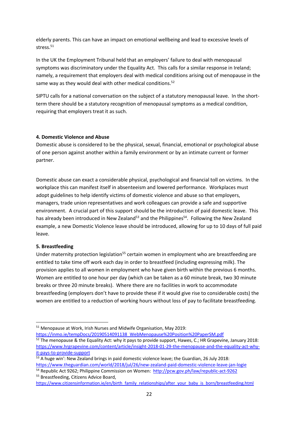elderly parents. This can have an impact on emotional wellbeing and lead to excessive levels of stress.<sup>51</sup>

In the UK the Employment Tribunal held that an employers' failure to deal with menopausal symptoms was discriminatory under the Equality Act. This calls for a similar response in Ireland; namely, a requirement that employers deal with medical conditions arising out of menopause in the same way as they would deal with other medical conditions.<sup>52</sup>

SIPTU calls for a national conversation on the subject of a statutory menopausal leave. In the shortterm there should be a statutory recognition of menopausal symptoms as a medical condition, requiring that employers treat it as such.

#### **4. Domestic Violence and Abuse**

Domestic abuse is considered to be the physical, sexual, financial, emotional or psychological abuse of one person against another within a family environment or by an intimate current or former partner.

Domestic abuse can exact a considerable physical, psychological and financial toll on victims. In the workplace this can manifest itself in absenteeism and lowered performance. Workplaces must adopt guidelines to help identify victims of domestic violence and abuse so that employers, managers, trade union representatives and work colleagues can provide a safe and supportive environment. A crucial part of this support should be the introduction of paid domestic leave. This has already been introduced in New Zealand<sup>53</sup> and the Philippines<sup>54</sup>. Following the New Zealand example, a new Domestic Violence leave should be introduced, allowing for up to 10 days of full paid leave.

### **5. Breastfeeding**

Under maternity protection legislation<sup>55</sup> certain women in employment who are breastfeeding are entitled to take time off work each day in order to breastfeed (including expressing milk). The provision applies to all women in employment who have given birth within the previous 6 months. Women are entitled to one hour per day (which can be taken as a 60 minute break, two 30 minute breaks or three 20 minute breaks). Where there are no facilities in work to accommodate breastfeeding (employers don't have to provide these if it would give rise to considerable costs) the women are entitled to a reduction of working hours without loss of pay to facilitate breastfeeding.

https://inmo.ie/tempDocs/20190514091138\_WebMenopause%20Position%20PaperSM.pdf

<sup>51</sup> Menopause at Work, Irish Nurses and Midwife Organisation, May 2019:

 $52$  The menopause & the Equality Act: why it pays to provide support, Hawes, C.; HR Grapevine, January 2018: https://www.hrgrapevine.com/content/article/insight-2018-01-29-the-menopause-and-the-equality-act-whyit-pays-to-provide-support

<sup>&</sup>lt;sup>53</sup> A huge win': New Zealand brings in paid domestic violence leave; the Guardian, 26 July 2018: https://www.theguardian.com/world/2018/jul/26/new-zealand-paid-domestic-violence-leave-jan-logie

<sup>54</sup> Republic Act 9262; Philippine Commission on Women: http://pcw.gov.ph/law/republic-act-9262 <sup>55</sup> Breastfeeding, Citizens Advice Board,

https://www.citizensinformation.ie/en/birth\_family\_relationships/after\_your\_baby\_is\_born/breastfeeding.html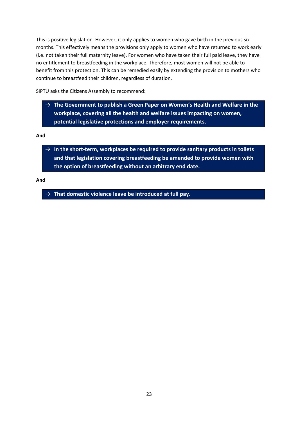This is positive legislation. However, it only applies to women who gave birth in the previous six months. This effectively means the provisions only apply to women who have returned to work early (i.e. not taken their full maternity leave). For women who have taken their full paid leave, they have no entitlement to breastfeeding in the workplace. Therefore, most women will not be able to benefit from this protection. This can be remedied easily by extending the provision to mothers who continue to breastfeed their children, regardless of duration.

SIPTU asks the Citizens Assembly to recommend:

 $\rightarrow$  The Government to publish a Green Paper on Women's Health and Welfare in the **workplace, covering all the health and welfare issues impacting on women, potential legislative protections and employer requirements.**

**And**

 $\rightarrow$  In the short-term, workplaces be required to provide sanitary products in toilets **and that legislation covering breastfeeding be amended to provide women with the option of breastfeeding without an arbitrary end date.**

**And**

 $\rightarrow$  That domestic violence leave be introduced at full pay.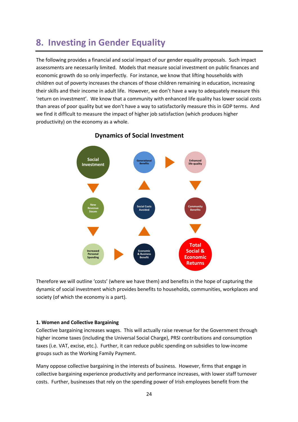## **8. Investing in Gender Equality**

The following provides a financial and social impact of our gender equality proposals. Such impact assessments are necessarily limited. Models that measure social investment on public finances and economic growth do so only imperfectly. For instance, we know that lifting households with children out of poverty increases the chances of those children remaining in education, increasing their skills and their income in adult life. However, we don't have a way to adequately measure this 'return on investment'. We know that a community with enhanced life quality has lower social costs than areas of poor quality but we don't have a way to satisfactorily measure this in GDP terms. And we find it difficult to measure the impact of higher job satisfaction (which produces higher productivity) on the economy as a whole.



### **Dynamics of Social Investment**

Therefore we will outline 'costs' (where we have them) and benefits in the hope of capturing the dynamic of social investment which provides benefits to households, communities, workplaces and society (of which the economy is a part).

#### **1. Women and Collective Bargaining**

Collective bargaining increases wages. This will actually raise revenue for the Government through higher income taxes (including the Universal Social Charge), PRSI contributions and consumption taxes (i.e. VAT, excise, etc.). Further, it can reduce public spending on subsidies to low-income groups such as the Working Family Payment.

Many oppose collective bargaining in the interests of business. However, firms that engage in collective bargaining experience productivity and performance increases, with lower staff turnover costs. Further, businesses that rely on the spending power of Irish employees benefit from the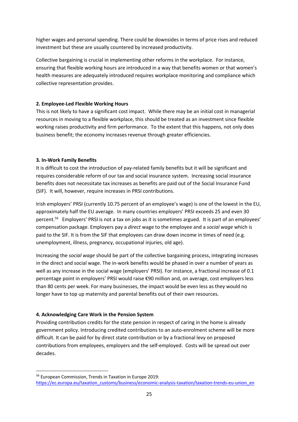higher wages and personal spending. There could be downsides in terms of price rises and reduced investment but these are usually countered by increased productivity.

Collective bargaining is crucial in implementing other reforms in the workplace. For instance, ensuring that flexible working hours are introduced in a way that benefits women or that women's health measures are adequately introduced requires workplace monitoring and compliance which collective representation provides.

### **2. Employee-Led Flexible Working Hours**

This is not likely to have a significant cost impact. While there may be an initial cost in managerial resources in moving to a flexible workplace, this should be treated as an investment since flexible working raises productivity and firm performance. To the extent that this happens, not only does business benefit; the economy increases revenue through greater efficiencies.

### **3. In-Work Family Benefits**

It is difficult to cost the introduction of pay-related family benefits but it will be significant and requires considerable reform of our tax and social insurance system. Increasing social insurance benefits does not necessitate tax increases as benefits are paid out of the Social Insurance Fund (SIF). It will, however, require increases in PRSI contributions.

Irish employers' PRSI (currently 10.75 percent of an employee's wage) is one of the lowest in the EU, approximately half the EU average. In many countries employers' PRSI exceeds 25 and even 30 percent.56 Employers' PRSI is not a tax on jobs as it is sometimes argued. It is part of an employees' compensation package. Employers pay a *direct* wage to the employee and a *social wage* which is paid to the SIF. It is from the SIF that employees can draw down income in times of need (e.g. unemployment, illness, pregnancy, occupational injuries, old age).

Increasing the *social wage* should be part of the collective bargaining process, integrating increases in the direct and social wage. The in-work benefits would be phased in over a number of years as well as any increase in the social wage (employers' PRSI). For instance, a fractional increase of 0.1 percentage point in employers' PRSI would raise €90 million and, on average, cost employers less than 80 cents per week. For many businesses, the impact would be even less as they would no longer have to top up maternity and parental benefits out of their own resources.

### **4. Acknowledging Care Work in the Pension System**

Providing contribution credits for the state pension in respect of caring in the home is already government policy. Introducing credited contributions to an auto-enrolment scheme will be more difficult. It can be paid for by direct state contribution or by a fractional levy on proposed contributions from employees, employers and the self-employed. Costs will be spread out over decades.

<sup>56</sup> European Commission, Trends in Taxation in Europe 2019: https://ec.europa.eu/taxation\_customs/business/economic-analysis-taxation/taxation-trends-eu-union\_en